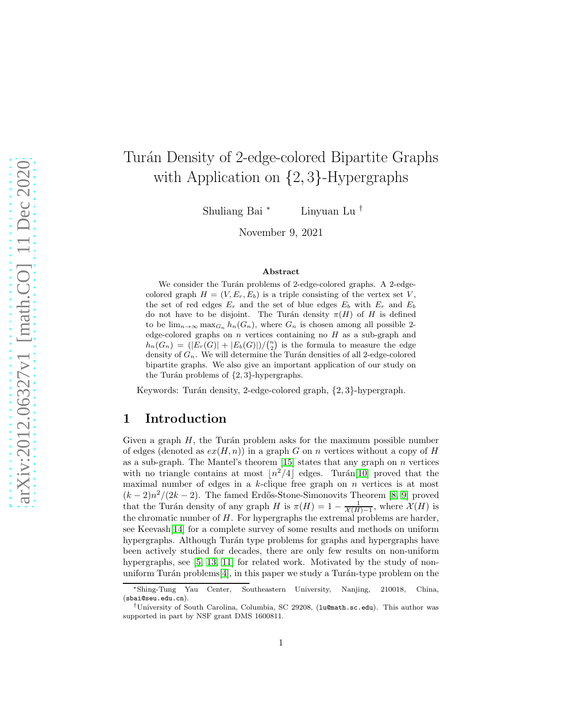# Turán Density of 2-edge-colored Bipartite Graphs with Application on {2, <sup>3</sup>}-Hypergraphs

Shuliang Bai <sup>∗</sup> Linyuan Lu †

November 9, 2021

#### Abstract

We consider the Turán problems of 2-edge-colored graphs. A 2-edgecolored graph  $H = (V, E_r, E_b)$  is a triple consisting of the vertex set V, the set of red edges  $E_r$  and the set of blue edges  $E_b$  with  $E_r$  and  $E_b$ do not have to be disjoint. The Turán density  $\pi(H)$  of H is defined to be  $\lim_{n\to\infty} \max_{G_n} h_n(G_n)$ , where  $G_n$  is chosen among all possible 2edge-colored graphs on  $n$  vertices containing no  $H$  as a sub-graph and  $h_n(G_n) = (|E_r(G)| + |E_b(G)|)/{n \choose 2}$  is the formula to measure the edge density of  $G_n$ . We will determine the Turán densities of all 2-edge-colored bipartite graphs. We also give an important application of our study on the Turán problems of  $\{2, 3\}$ -hypergraphs.

Keywords: Turán density, 2-edge-colored graph,  $\{2, 3\}$ -hypergraph.

### 1 Introduction

Given a graph  $H$ , the Turán problem asks for the maximum possible number of edges (denoted as  $ex(H, n)$ ) in a graph G on n vertices without a copy of H as a sub-graph. The Mantel's theorem  $[15]$  states that any graph on n vertices with no triangle contains at most  $\lfloor n^2/4 \rfloor$  edges. Turán[\[10\]](#page-20-1) proved that the maximal number of edges in a  $k$ -clique free graph on  $n$  vertices is at most  $(k-2)n^2/(2k-2)$ . The famed Erdős-Stone-Simonovits Theorem [\[8,](#page-20-2) [9\]](#page-20-3) proved that the Turán density of any graph H is  $\pi(H) = 1 - \frac{1}{\mathcal{X}(H)-1}$ , where  $\mathcal{X}(H)$  is the chromatic number of  $H$ . For hypergraphs the extremal problems are harder, see Keevash[\[14\]](#page-20-4) for a complete survey of some results and methods on uniform hypergraphs. Although Turán type problems for graphs and hypergraphs have been actively studied for decades, there are only few results on non-uniform hypergraphs, see [\[5,](#page-20-5) [13,](#page-20-6) [11\]](#page-20-7) for related work. Motivated by the study of nonuniform Turán problems $[4]$ , in this paper we study a Turán-type problem on the

<sup>∗</sup>Shing-Tung Yau Center, Southeastern University, Nanjing, 210018, China, (sbai@seu.edu.cn).

<sup>†</sup>University of South Carolina, Columbia, SC 29208, (lu@math.sc.edu). This author was supported in part by NSF grant DMS 1600811.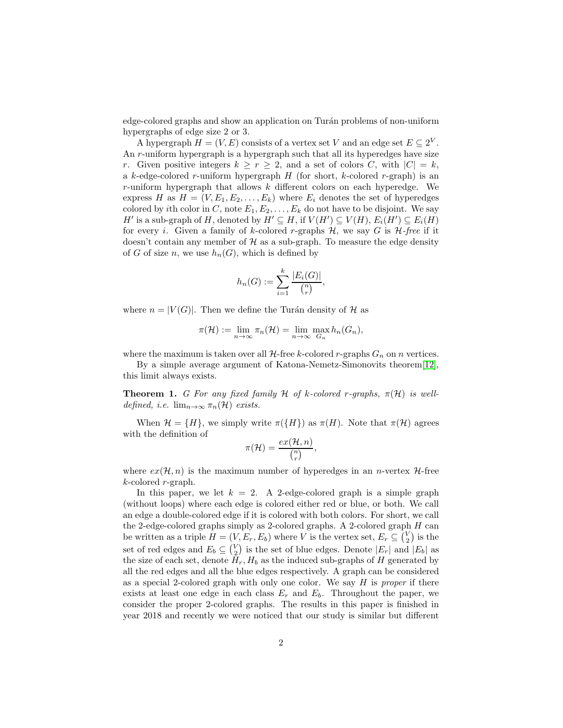edge-colored graphs and show an application on Turán problems of non-uniform hypergraphs of edge size 2 or 3.

A hypergraph  $H = (V, E)$  consists of a vertex set V and an edge set  $E \subseteq 2^V$ . An r-uniform hypergraph is a hypergraph such that all its hyperedges have size r. Given positive integers  $k \ge r \ge 2$ , and a set of colors C, with  $|C| = k$ , a k-edge-colored r-uniform hypergraph  $H$  (for short, k-colored r-graph) is an r-uniform hypergraph that allows  $k$  different colors on each hyperedge. We express H as  $H = (V, E_1, E_2, \ldots, E_k)$  where  $E_i$  denotes the set of hyperedges colored by ith color in C, note  $E_1, E_2, \ldots, E_k$  do not have to be disjoint. We say H' is a sub-graph of H, denoted by  $H' \subseteq H$ , if  $V(H') \subseteq V(H)$ ,  $E_i(H') \subseteq E_i(H)$ for every i. Given a family of k-colored r-graphs  $H$ , we say G is  $H$ -free if it doesn't contain any member of  $H$  as a sub-graph. To measure the edge density of G of size n, we use  $h_n(G)$ , which is defined by

$$
h_n(G) := \sum_{i=1}^k \frac{|E_i(G)|}{\binom{n}{r}},
$$

where  $n = |V(G)|$ . Then we define the Turán density of H as

$$
\pi(\mathcal{H}) := \lim_{n \to \infty} \pi_n(\mathcal{H}) = \lim_{n \to \infty} \max_{G_n} h_n(G_n),
$$

where the maximum is taken over all  $H$ -free k-colored r-graphs  $G_n$  on n vertices.

By a simple average argument of Katona-Nemetz-Simonovits theorem[\[12\]](#page-20-9), this limit always exists.

**Theorem 1.** *G* For any fixed family H of k-colored r-graphs,  $\pi(\mathcal{H})$  is well*defined, i.e.*  $\lim_{n\to\infty} \pi_n(\mathcal{H})$  *exists.* 

When  $\mathcal{H} = \{H\}$ , we simply write  $\pi(\{H\})$  as  $\pi(H)$ . Note that  $\pi(\mathcal{H})$  agrees with the definition of

$$
\pi(\mathcal{H})=\frac{ex(\mathcal{H},n)}{\binom{n}{r}},
$$

where  $ex(\mathcal{H}, n)$  is the maximum number of hyperedges in an *n*-vertex  $\mathcal{H}$ -free  $k$ -colored  $r$ -graph.

In this paper, we let  $k = 2$ . A 2-edge-colored graph is a simple graph (without loops) where each edge is colored either red or blue, or both. We call an edge a double-colored edge if it is colored with both colors. For short, we call the 2-edge-colored graphs simply as 2-colored graphs. A 2-colored graph  $H$  can be written as a triple  $H = (V, E_r, E_b)$  where V is the vertex set,  $E_r \subseteq {V \choose 2}$  is the set of red edges and  $E_b \subseteq {V \choose 2}$  is the set of blue edges. Denote  $|E_r|$  and  $|E_b|$  as the size of each set, denote  $H_r$ ,  $H_b$  as the induced sub-graphs of H generated by all the red edges and all the blue edges respectively. A graph can be considered as a special 2-colored graph with only one color. We say H is *proper* if there exists at least one edge in each class  $E_r$  and  $E_b$ . Throughout the paper, we consider the proper 2-colored graphs. The results in this paper is finished in year 2018 and recently we were noticed that our study is similar but different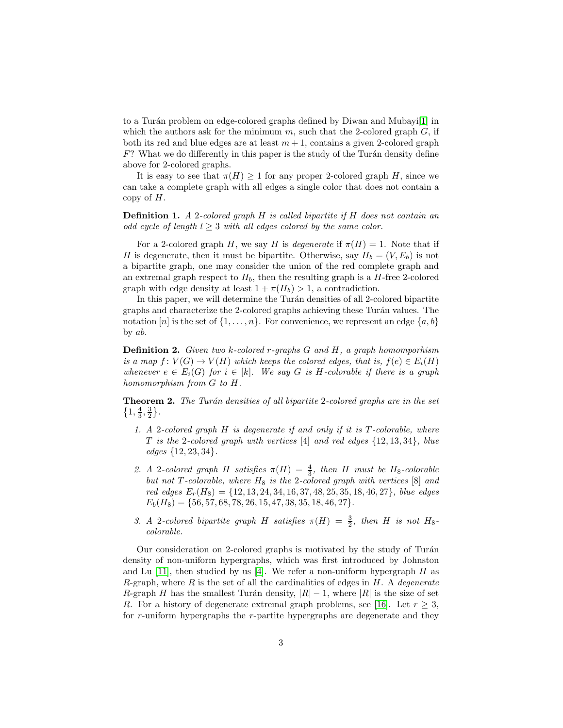to a Turán problem on edge-colored graphs defined by Diwan and Mubayi[\[1\]](#page-19-0) in which the authors ask for the minimum  $m$ , such that the 2-colored graph  $G$ , if both its red and blue edges are at least  $m + 1$ , contains a given 2-colored graph  $F$ ? What we do differently in this paper is the study of the Turán density define above for 2-colored graphs.

It is easy to see that  $\pi(H) \geq 1$  for any proper 2-colored graph H, since we can take a complete graph with all edges a single color that does not contain a copy of  $H$ .

Definition 1. *A* 2*-colored graph* H *is called bipartite if* H *does not contain an odd cycle of length*  $l \geq 3$  *with all edges colored by the same color.* 

For a 2-colored graph H, we say H is *degenerate* if  $\pi(H) = 1$ . Note that if H is degenerate, then it must be bipartite. Otherwise, say  $H_b = (V, E_b)$  is not a bipartite graph, one may consider the union of the red complete graph and an extremal graph respect to  $H_b$ , then the resulting graph is a  $H$ -free 2-colored graph with edge density at least  $1 + \pi(H_b) > 1$ , a contradiction.

In this paper, we will determine the Turán densities of all 2-colored bipartite graphs and characterize the 2-colored graphs achieving these Turán values. The notation [n] is the set of  $\{1,\ldots,n\}$ . For convenience, we represent an edge  $\{a,b\}$ by ab.

Definition 2. *Given two* k*-colored* r*-graphs* G *and* H*, a graph homomporhism is a map*  $f: V(G) \to V(H)$  *which keeps the colored edges, that is,*  $f(e) \in E_i(H)$ *whenever*  $e \in E_i(G)$  *for*  $i \in [k]$ *. We say* G *is* H-colorable *if there is a graph homomorphism from* G *to* H*.*

<span id="page-2-0"></span>**Theorem 2.** The Turán densities of all bipartite 2-colored graphs are in the set  $\left\{1, \frac{4}{3}, \frac{3}{2}\right\}.$ 

- *1. A* 2*-colored graph* H *is degenerate if and only if it is* T *-colorable, where* T *is the* 2*-colored graph with vertices* [4] *and red edges* {12, 13, 34}*, blue edges* {12, 23, 34}*.*
- 2. A 2-colored graph H satisfies  $\pi(H) = \frac{4}{3}$ , then H must be H<sub>8</sub>-colorable *but not*  $T$ *-colorable, where*  $H_8$  *is the* 2*-colored graph with vertices* [8] *and red edges* Er(H8) = {12, 13, 24, 34, 16, 37, 48, 25, 35, 18, 46, 27}*, blue edges*  $E_b(H_8) = \{56, 57, 68, 78, 26, 15, 47, 38, 35, 18, 46, 27\}.$
- 3. A 2-colored bipartite graph H satisfies  $\pi(H) = \frac{3}{2}$ , then H is not H<sub>8</sub>*colorable.*

Our consideration on 2-colored graphs is motivated by the study of Turán density of non-uniform hypergraphs, which was first introduced by Johnston and Lu [\[11\]](#page-20-7), then studied by us [\[4\]](#page-20-8). We refer a non-uniform hypergraph  $H$  as R-graph, where R is the set of all the cardinalities of edges in H. A *degenerate* R-graph H has the smallest Turán density,  $|R| - 1$ , where  $|R|$  is the size of set R. For a history of degenerate extremal graph problems, see [\[16\]](#page-20-10). Let  $r > 3$ , for r-uniform hypergraphs the r-partite hypergraphs are degenerate and they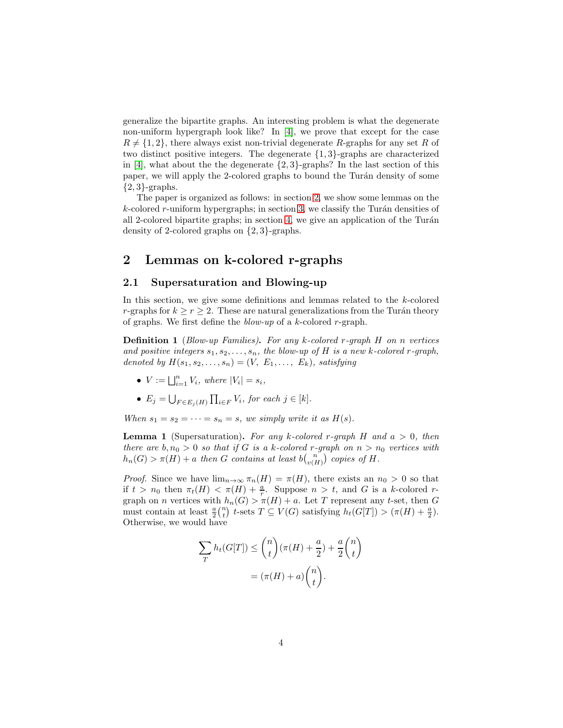generalize the bipartite graphs. An interesting problem is what the degenerate non-uniform hypergraph look like? In [\[4\]](#page-20-8), we prove that except for the case  $R \neq \{1, 2\}$ , there always exist non-trivial degenerate R-graphs for any set R of two distinct positive integers. The degenerate {1, 3}-graphs are characterized in [\[4\]](#page-20-8), what about the the degenerate  $\{2,3\}$ -graphs? In the last section of this paper, we will apply the 2-colored graphs to bound the Turán density of some  $\{2,3\}$ -graphs.

The paper is organized as follows: in section [2,](#page-3-0) we show some lemmas on the  $k$ -colored r-uniform hypergraphs; in section [3,](#page-7-0) we classify the Turán densities of all 2-colored bipartite graphs; in section [4,](#page-14-0) we give an application of the Turán density of 2-colored graphs on {2, 3}-graphs.

### <span id="page-3-0"></span>2 Lemmas on k-colored r-graphs

#### 2.1 Supersaturation and Blowing-up

In this section, we give some definitions and lemmas related to the k-colored r-graphs for  $k \ge r \ge 2$ . These are natural generalizations from the Turán theory of graphs. We first define the *blow-up* of a k-colored r-graph.

Definition 1 (*Blow-up Families)*. *For any* k*-colored* r*-graph* H *on* n *vertices* and positive integers  $s_1, s_2, \ldots, s_n$ , the blow-up of H is a new k-colored r-graph, *denoted by*  $H(s_1, s_2, \ldots, s_n) = (V, E_1, \ldots, E_k)$ *, satisfying* 

- $V := \bigsqcup_{i=1}^{n} V_i$ *, where*  $|V_i| = s_i$ *,*
- $E_j = \bigcup_{F \in E_j(H)} \prod_{i \in F} V_i$ , for each  $j \in [k]$ .

*When*  $s_1 = s_2 = \cdots = s_n = s$ *, we simply write it as H(s).* 

Lemma 1 (Supersaturation). *For any* k*-colored* r*-graph* H *and* a > 0*, then there are*  $b, n_0 > 0$  *so that if* G *is a* k-colored r-graph on  $n > n_0$  vertices with  $h_n(G) > \pi(H) + a$  then G contains at least  $b\binom{n}{v(H)}$  copies of H.

*Proof.* Since we have  $\lim_{n\to\infty} \pi_n(H) = \pi(H)$ , there exists an  $n_0 > 0$  so that if  $t > n_0$  then  $\pi_t(H) < \pi(H) + \frac{a}{r}$ . Suppose  $n > t$ , and G is a k-colored rgraph on n vertices with  $h_n(G) > \pi(H) + a$ . Let T represent any t-set, then G must contain at least  $\frac{a}{2} {n \choose t}$  t-sets  $T \subseteq V(G)$  satisfying  $h_t(G[T]) > (\pi(H) + \frac{a}{2})$ . Otherwise, we would have

$$
\sum_{T} h_t(G[T]) \leq {n \choose t} (\pi(H) + \frac{a}{2}) + \frac{a}{2} {n \choose t}
$$

$$
= (\pi(H) + a) {n \choose t}.
$$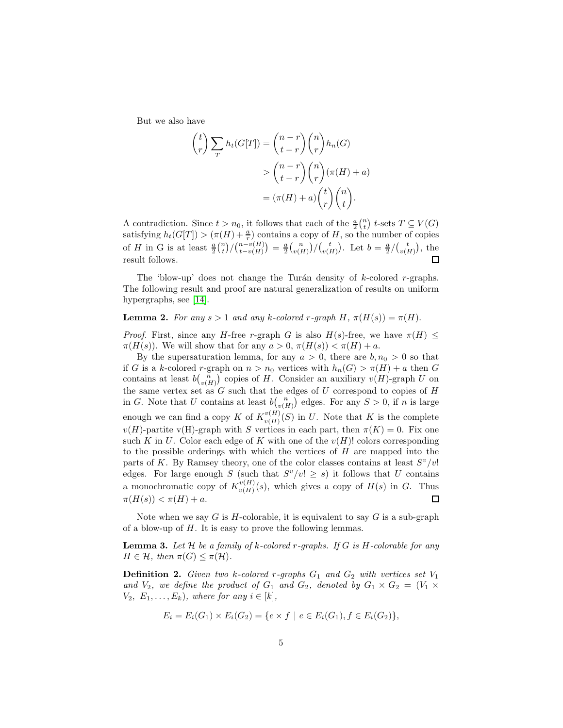But we also have

$$
\binom{t}{r} \sum_{T} h_t(G[T]) = \binom{n-r}{t-r} \binom{n}{r} h_n(G)
$$

$$
> \binom{n-r}{t-r} \binom{n}{r} (\pi(H) + a)
$$

$$
= (\pi(H) + a) \binom{t}{r} \binom{n}{t}.
$$

A contradiction. Since  $t > n_0$ , it follows that each of the  $\frac{a}{2} {n \choose t}$  t-sets  $T \subseteq V(G)$ satisfying  $h_t(G[T]) > (\pi(H) + \frac{a}{r})$  contains a copy of H, so the number of copies of H in G is at least  $\frac{a}{2} {n \choose t} / {n-v(H) \choose t-v(H)} = \frac{a}{2} {n \choose v(H)} / {t \choose v(H)}$ . Let  $b = \frac{a}{2} / {t \choose v(H)}$ , the result follows.  $\Box$ 

The 'blow-up' does not change the Turán density of  $k$ -colored r-graphs. The following result and proof are natural generalization of results on uniform hypergraphs, see [\[14\]](#page-20-4).

**Lemma 2.** For any  $s > 1$  and any k-colored r-graph H,  $\pi(H(s)) = \pi(H)$ .

*Proof.* First, since any H-free r-graph G is also  $H(s)$ -free, we have  $\pi(H)$  <  $\pi(H(s))$ . We will show that for any  $a > 0$ ,  $\pi(H(s)) < \pi(H) + a$ .

By the supersaturation lemma, for any  $a > 0$ , there are  $b, n_0 > 0$  so that if G is a k-colored r-graph on  $n > n_0$  vertices with  $h_n(G) > \pi(H) + a$  then G contains at least  $bbinn \binom{n}{v(H)}$  copies of H. Consider an auxiliary  $v(H)$ -graph U on the same vertex set as  $G$  such that the edges of  $U$  correspond to copies of  $H$ in G. Note that U contains at least  $b\binom{n}{v(H)}$  edges. For any  $S > 0$ , if n is large enough we can find a copy K of  $K_{n(H)}^{v(H)}$  $\binom{v(H)}{v(H)}$  in U. Note that K is the complete  $v(H)$ -partite v(H)-graph with S vertices in each part, then  $\pi(K) = 0$ . Fix one such K in U. Color each edge of K with one of the  $v(H)$ ! colors corresponding to the possible orderings with which the vertices of H are mapped into the parts of K. By Ramsey theory, one of the color classes contains at least  $S^v/v!$ edges. For large enough S (such that  $S^v/v! \geq s$ ) it follows that U contains a monochromatic copy of  $K^{v(H)}_{v(H)}$  $\frac{v(H)}{v(H)}(s)$ , which gives a copy of  $H(s)$  in G. Thus  $\pi(H(s)) < \pi(H) + a$ .  $\Box$ 

Note when we say G is  $H$ -colorable, it is equivalent to say G is a sub-graph of a blow-up of  $H$ . It is easy to prove the following lemmas.

Lemma 3. *Let* H *be a family of* k*-colored* r*-graphs. If* G *is* H*-colorable for any*  $H \in \mathcal{H}$ , then  $\pi(G) \leq \pi(\mathcal{H})$ .

**Definition 2.** *Given two k-colored r-graphs*  $G_1$  *and*  $G_2$  *with vertices set*  $V_1$ and  $V_2$ *, we define the product of*  $G_1$  *and*  $G_2$ *, denoted by*  $G_1 \times G_2 = (V_1 \times$  $V_2, E_1, \ldots, E_k$ , where for any  $i \in [k]$ ,

$$
E_i = E_i(G_1) \times E_i(G_2) = \{e \times f \mid e \in E_i(G_1), f \in E_i(G_2)\},\
$$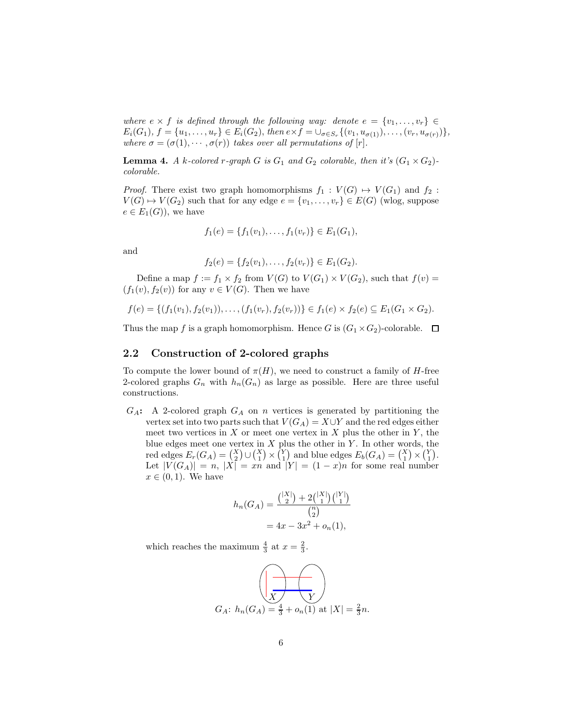*where*  $e \times f$  *is defined through the following way: denote*  $e = \{v_1, \ldots, v_r\} \in$  $E_i(G_1), f = \{u_1, \ldots, u_r\} \in E_i(G_2), \text{ then } e \times f = \cup_{\sigma \in S_r} \{ (v_1, u_{\sigma(1)}), \ldots, (v_r, u_{\sigma(r)}) \},$ *where*  $\sigma = (\sigma(1), \cdots, \sigma(r))$  *takes over all permutations of* [r].

<span id="page-5-0"></span>**Lemma 4.** *A k*-colored *r*-graph *G is*  $G_1$  *and*  $G_2$  *colorable, then it's*  $(G_1 \times G_2)$ *colorable.*

*Proof.* There exist two graph homomorphisms  $f_1 : V(G) \rightarrow V(G_1)$  and  $f_2$ :  $V(G) \rightarrow V(G_2)$  such that for any edge  $e = \{v_1, \ldots, v_r\} \in E(G)$  (wlog, suppose  $e \in E_1(G)$ , we have

$$
f_1(e) = \{f_1(v_1), \ldots, f_1(v_r)\} \in E_1(G_1),
$$

and

$$
f_2(e) = \{f_2(v_1), \ldots, f_2(v_r)\} \in E_1(G_2).
$$

Define a map  $f := f_1 \times f_2$  from  $V(G)$  to  $V(G_1) \times V(G_2)$ , such that  $f(v) =$  $(f_1(v), f_2(v))$  for any  $v \in V(G)$ . Then we have

$$
f(e) = \{ (f_1(v_1), f_2(v_1)), \ldots, (f_1(v_r), f_2(v_r)) \} \in f_1(e) \times f_2(e) \subseteq E_1(G_1 \times G_2).
$$

Thus the map f is a graph homomorphism. Hence G is  $(G_1 \times G_2)$ -colorable.  $\Box$ 

#### 2.2 Construction of 2-colored graphs

To compute the lower bound of  $\pi(H)$ , we need to construct a family of H-free 2-colored graphs  $G_n$  with  $h_n(G_n)$  as large as possible. Here are three useful constructions.

 $G_A$ : A 2-colored graph  $G_A$  on n vertices is generated by partitioning the vertex set into two parts such that  $V(G_A) = X \cup Y$  and the red edges either meet two vertices in  $X$  or meet one vertex in  $X$  plus the other in  $Y$ , the blue edges meet one vertex in  $X$  plus the other in  $Y$ . In other words, the red edges  $E_r(G_A) = \binom{X}{2} \cup \binom{X}{1} \times \binom{Y}{1}$  and blue edges  $E_b(G_A) = \binom{X}{1} \times \binom{Y}{1}$ . Let  $|V(G_A)| = n$ ,  $|X| = xn$  and  $|Y| = (1 - x)n$  for some real number  $x \in (0,1)$ . We have

$$
h_n(G_A) = \frac{\binom{|X|}{2} + 2\binom{|X|}{1}\binom{|Y|}{1}}{\binom{n}{2}}
$$
  
=  $4x - 3x^2 + o_n(1)$ ,

which reaches the maximum  $\frac{4}{3}$  at  $x = \frac{2}{3}$ .

$$
G_A: h_n(G_A) = \frac{4}{3} + o_n(1) \text{ at } |X| = \frac{2}{3}n.
$$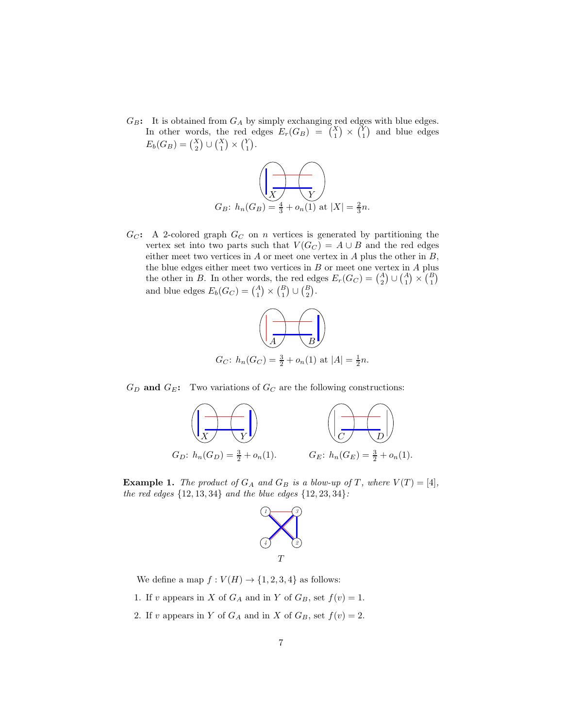$G_B$ : It is obtained from  $G_A$  by simply exchanging red edges with blue edges. In other words, the red edges  $E_r(G_B) = {X \choose 1} \times {Y \choose 1}$  and blue edges  $E_b(G_B) = {X \choose 2} \cup {X \choose 1} \times {Y \choose 1}.$ 



 $G_C$ : A 2-colored graph  $G_C$  on n vertices is generated by partitioning the vertex set into two parts such that  $V(G_C) = A \cup B$  and the red edges either meet two vertices in  $A$  or meet one vertex in  $A$  plus the other in  $B$ , the blue edges either meet two vertices in  $B$  or meet one vertex in  $A$  plus the other in B. In other words, the red edges  $E_r(G_C) = \binom{A}{2} \cup \binom{A}{1} \times \binom{B}{1}$ and blue edges  $E_b(G_C) = \binom{A}{1} \times \binom{B}{1} \cup \binom{B}{2}$ .



 $G_D$  and  $G_E$ : Two variations of  $G_C$  are the following constructions:



<span id="page-6-0"></span>**Example 1.** *The product of*  $G_A$  *and*  $G_B$  *is a blow-up of*  $T$ *, where*  $V(T) = [4]$ *, the red edges* {12, 13, 34} *and the blue edges* {12, 23, 34}*:*



- We define a map  $f: V(H) \to \{1, 2, 3, 4\}$  as follows:
- 1. If v appears in X of  $G_A$  and in Y of  $G_B$ , set  $f(v) = 1$ .
- 2. If v appears in Y of  $G_A$  and in X of  $G_B$ , set  $f(v) = 2$ .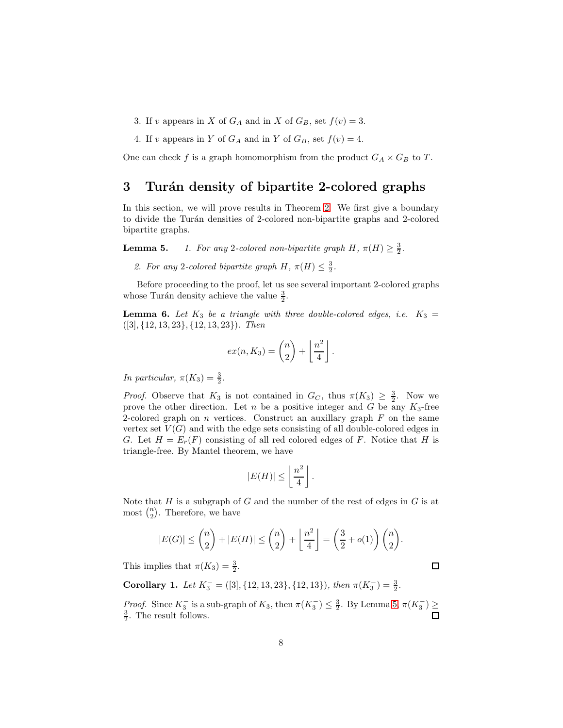- 3. If v appears in X of  $G_A$  and in X of  $G_B$ , set  $f(v) = 3$ .
- 4. If v appears in Y of  $G_A$  and in Y of  $G_B$ , set  $f(v) = 4$ .

<span id="page-7-0"></span>One can check f is a graph homomorphism from the product  $G_A \times G_B$  to T.

### 3 Turán density of bipartite 2-colored graphs

In this section, we will prove results in Theorem [2.](#page-2-0) We first give a boundary to divide the Tur´an densities of 2-colored non-bipartite graphs and 2-colored bipartite graphs.

**Lemma 5.** *1. For any* 2-colored non-bipartite graph  $H$ ,  $\pi(H) \geq \frac{3}{2}$ .

2. For any 2-colored bipartite graph  $H$ ,  $\pi(H) \leq \frac{3}{2}$ .

Before proceeding to the proof, let us see several important 2-colored graphs whose Turán density achieve the value  $\frac{3}{2}$ .

<span id="page-7-1"></span>**Lemma 6.** Let  $K_3$  be a triangle with three double-colored edges, i.e.  $K_3$  = ([3], {12, 13, 23}, {12, 13, 23})*. Then*

$$
ex(n, K_3) = {n \choose 2} + \left\lfloor \frac{n^2}{4} \right\rfloor.
$$

*In particular,*  $\pi(K_3) = \frac{3}{2}$ .

*Proof.* Observe that  $K_3$  is not contained in  $G_C$ , thus  $\pi(K_3) \geq \frac{3}{2}$ . Now we prove the other direction. Let n be a positive integer and G be any  $K_3$ -free 2-colored graph on  $n$  vertices. Construct an auxillary graph  $F$  on the same vertex set  $V(G)$  and with the edge sets consisting of all double-colored edges in G. Let  $H = E_r(F)$  consisting of all red colored edges of F. Notice that H is triangle-free. By Mantel theorem, we have

$$
|E(H)| \le \left\lfloor \frac{n^2}{4} \right\rfloor.
$$

Note that H is a subgraph of G and the number of the rest of edges in  $G$  is at most  $\binom{n}{2}$ . Therefore, we have

$$
|E(G)| \leq {n \choose 2} + |E(H)| \leq {n \choose 2} + \left\lfloor \frac{n^2}{4} \right\rfloor = \left(\frac{3}{2} + o(1)\right){n \choose 2}.
$$

This implies that  $\pi(K_3) = \frac{3}{2}$ .

Corollary 1. *Let*  $K_3^- = ([3], \{12, 13, 23\}, \{12, 13\})$ *, then*  $\pi(K_3^-) = \frac{3}{2}$ *.* 

*Proof.* Since  $K_3^-$  is a sub-graph of  $K_3$ , then  $\pi(K_3^-) \leq \frac{3}{2}$ . By Lemma 5,  $\pi(K_3^-) \geq$  $\frac{3}{2}$ . The result follows.

 $\Box$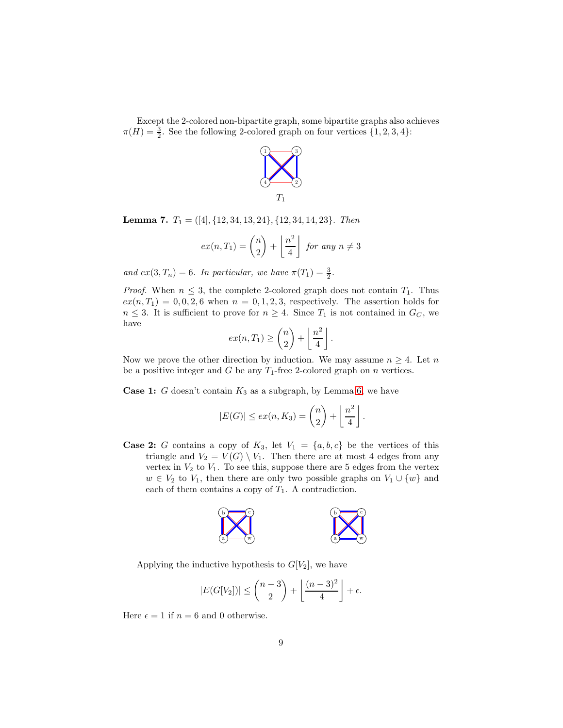Except the 2-colored non-bipartite graph, some bipartite graphs also achieves  $\pi(H) = \frac{3}{2}$ . See the following 2-colored graph on four vertices  $\{1, 2, 3, 4\}$ :

![](_page_8_Figure_1.jpeg)

<span id="page-8-0"></span>Lemma 7. T<sup>1</sup> = ([4], {12, 34, 13, 24}, {12, 34, 14, 23}*. Then*

$$
ex(n,T_1) = {n \choose 2} + \left\lfloor \frac{n^2}{4} \right\rfloor
$$
 for any  $n \neq 3$ 

*and*  $ex(3, T_n) = 6$ *. In particular, we have*  $\pi(T_1) = \frac{3}{2}$ *.* 

*Proof.* When  $n \leq 3$ , the complete 2-colored graph does not contain  $T_1$ . Thus  $ex(n, T_1) = 0, 0, 2, 6$  when  $n = 0, 1, 2, 3$ , respectively. The assertion holds for  $n \leq 3$ . It is sufficient to prove for  $n \geq 4$ . Since  $T_1$  is not contained in  $G_C$ , we have

$$
ex(n,T_1) \geq {n \choose 2} + \left\lfloor \frac{n^2}{4} \right\rfloor.
$$

Now we prove the other direction by induction. We may assume  $n \geq 4$ . Let n be a positive integer and G be any  $T_1$ -free 2-colored graph on n vertices.

**Case 1:** G doesn't contain  $K_3$  as a subgraph, by Lemma [6,](#page-7-1) we have

$$
|E(G)| \le ex(n, K_3) = \binom{n}{2} + \left\lfloor \frac{n^2}{4} \right\rfloor.
$$

**Case 2:** G contains a copy of  $K_3$ , let  $V_1 = \{a, b, c\}$  be the vertices of this triangle and  $V_2 = V(G) \setminus V_1$ . Then there are at most 4 edges from any vertex in  $V_2$  to  $V_1$ . To see this, suppose there are 5 edges from the vertex  $w \in V_2$  to  $V_1$ , then there are only two possible graphs on  $V_1 \cup \{w\}$  and each of them contains a copy of  $T_1$ . A contradiction.

![](_page_8_Figure_11.jpeg)

Applying the inductive hypothesis to  $G[V_2]$ , we have

$$
|E(G[V_2])| \leq {n-3 \choose 2} + \left\lfloor \frac{(n-3)^2}{4} \right\rfloor + \epsilon.
$$

Here  $\epsilon = 1$  if  $n = 6$  and 0 otherwise.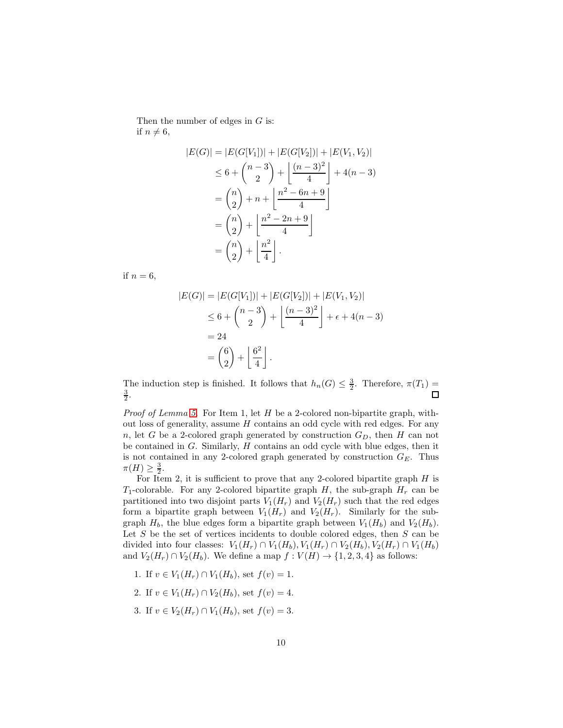Then the number of edges in  $G$  is: if  $n \neq 6$ ,

$$
|E(G)| = |E(G[V_1])| + |E(G[V_2])| + |E(V_1, V_2)|
$$
  
\n
$$
\leq 6 + {n-3 \choose 2} + \left\lfloor \frac{(n-3)^2}{4} \right\rfloor + 4(n-3)
$$
  
\n
$$
= {n \choose 2} + n + \left\lfloor \frac{n^2 - 6n + 9}{4} \right\rfloor
$$
  
\n
$$
= {n \choose 2} + \left\lfloor \frac{n^2 - 2n + 9}{4} \right\rfloor
$$
  
\n
$$
= {n \choose 2} + \left\lfloor \frac{n^2}{4} \right\rfloor.
$$

if  $n = 6$ ,

$$
|E(G)| = |E(G[V_1])| + |E(G[V_2])| + |E(V_1, V_2)|
$$
  
\n
$$
\leq 6 + {n-3 \choose 2} + \left\lfloor \frac{(n-3)^2}{4} \right\rfloor + \epsilon + 4(n-3)
$$
  
\n
$$
= 24
$$
  
\n
$$
= {6 \choose 2} + \left\lfloor \frac{6^2}{4} \right\rfloor.
$$

The induction step is finished. It follows that  $h_n(G) \leq \frac{3}{2}$ . Therefore,  $\pi(T_1) =$  $\frac{3}{2}$ .  $\Box$ 

*Proof of Lemma 5.* For Item 1, let H be a 2-colored non-bipartite graph, without loss of generality, assume  $H$  contains an odd cycle with red edges. For any n, let G be a 2-colored graph generated by construction  $G_D$ , then H can not be contained in  $G$ . Similarly,  $H$  contains an odd cycle with blue edges, then it is not contained in any 2-colored graph generated by construction  $G_E$ . Thus  $\pi(H) \geq \frac{3}{2}.$ 

For Item 2, it is sufficient to prove that any 2-colored bipartite graph  $H$  is  $T_1$ -colorable. For any 2-colored bipartite graph H, the sub-graph  $H_r$  can be partitioned into two disjoint parts  $V_1(H_r)$  and  $V_2(H_r)$  such that the red edges form a bipartite graph between  $V_1(H_r)$  and  $V_2(H_r)$ . Similarly for the subgraph  $H_b$ , the blue edges form a bipartite graph between  $V_1(H_b)$  and  $V_2(H_b)$ . Let  $S$  be the set of vertices incidents to double colored edges, then  $S$  can be divided into four classes:  $V_1(H_r) \cap V_1(H_b)$ ,  $V_1(H_r) \cap V_2(H_b)$ ,  $V_2(H_r) \cap V_1(H_b)$ and  $V_2(H_r) \cap V_2(H_b)$ . We define a map  $f : V(H) \to \{1, 2, 3, 4\}$  as follows:

- 1. If  $v \in V_1(H_r) \cap V_1(H_b)$ , set  $f(v) = 1$ .
- 2. If  $v \in V_1(H_r) \cap V_2(H_b)$ , set  $f(v) = 4$ .
- 3. If  $v \in V_2(H_r) \cap V_1(H_b)$ , set  $f(v) = 3$ .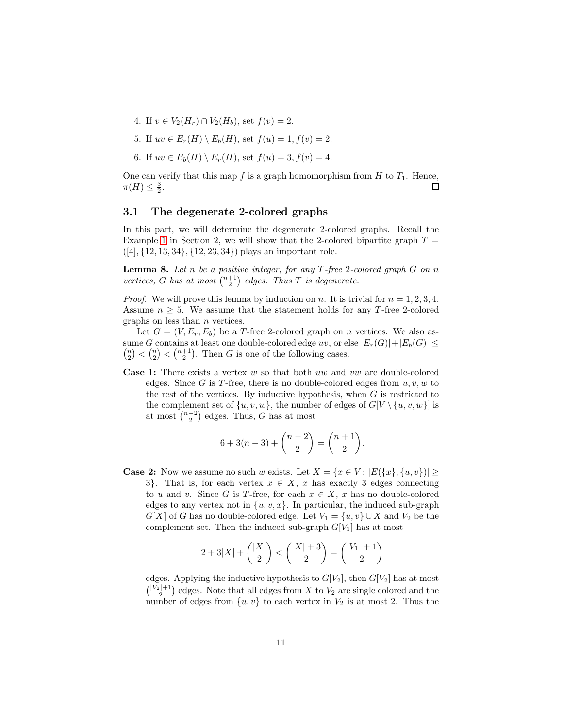- 4. If  $v \in V_2(H_r) \cap V_2(H_b)$ , set  $f(v) = 2$ .
- 5. If  $uv \in E_r(H) \setminus E_b(H)$ , set  $f(u) = 1, f(v) = 2$ .
- 6. If  $uv \in E_b(H) \setminus E_r(H)$ , set  $f(u) = 3$ ,  $f(v) = 4$ .

One can verify that this map f is a graph homomorphism from H to  $T_1$ . Hence,  $\pi(H) \leq \frac{3}{2}.$  $\Box$ 

#### 3.1 The degenerate 2-colored graphs

In this part, we will determine the degenerate 2-colored graphs. Recall the Example [1](#page-6-0) in Section 2, we will show that the 2-colored bipartite graph  $T =$  $([4], {12, 13, 34}, {12, 23, 34})$  plays an important role.

<span id="page-10-0"></span>Lemma 8. *Let* n *be a positive integer, for any* T *-free* 2*-colored graph* G *on* n *vertices,* G has at most  $\binom{n+1}{2}$  edges. Thus T is degenerate.

*Proof.* We will prove this lemma by induction on n. It is trivial for  $n = 1, 2, 3, 4$ . Assume  $n \geq 5$ . We assume that the statement holds for any T-free 2-colored graphs on less than  $n$  vertices.

Let  $G = (V, E_r, E_b)$  be a T-free 2-colored graph on n vertices. We also as- ${n \choose 2} < {n+1 \choose 2}$ . Then G is one of the following cases. sume G contains at least one double-colored edge uv, or else  $|E_r(G)|+|E_b(G)| \le$ 

**Case 1:** There exists a vertex  $w$  so that both  $uw$  and  $vw$  are double-colored edges. Since G is T-free, there is no double-colored edges from  $u, v, w$  to the rest of the vertices. By inductive hypothesis, when  $G$  is restricted to the complement set of  $\{u, v, w\}$ , the number of edges of  $G[V \setminus \{u, v, w\}]$  is at most  $\binom{n-2}{2}$  edges. Thus, G has at most

$$
6 + 3(n - 3) + \binom{n - 2}{2} = \binom{n + 1}{2}.
$$

**Case 2:** Now we assume no such w exists. Let  $X = \{x \in V : |E(\{x\}, \{u, v\})| \geq \}$ 3}. That is, for each vertex  $x \in X$ , x has exactly 3 edges connecting to u and v. Since G is T-free, for each  $x \in X$ , x has no double-colored edges to any vertex not in  $\{u, v, x\}$ . In particular, the induced sub-graph  $G[X]$  of G has no double-colored edge. Let  $V_1 = \{u, v\} \cup X$  and  $V_2$  be the complement set. Then the induced sub-graph  $G[V_1]$  has at most

$$
2 + 3|X| + \binom{|X|}{2} < \binom{|X| + 3}{2} = \binom{|V_1| + 1}{2}
$$

edges. Applying the inductive hypothesis to  $G[V_2]$ , then  $G[V_2]$  has at most  $\binom{|V_2|+1}{2}$  edges. Note that all edges from X to  $V_2$  are single colored and the number of edges from  $\{u, v\}$  to each vertex in  $V_2$  is at most 2. Thus the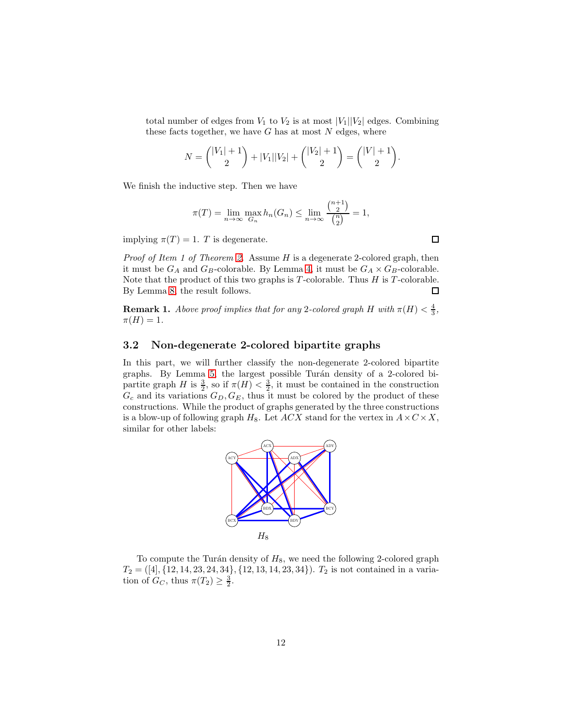total number of edges from  $V_1$  to  $V_2$  is at most  $|V_1||V_2|$  edges. Combining these facts together, we have  $G$  has at most  $N$  edges, where

$$
N = \binom{|V_1| + 1}{2} + |V_1||V_2| + \binom{|V_2| + 1}{2} = \binom{|V| + 1}{2}.
$$

We finish the inductive step. Then we have

$$
\pi(T) = \lim_{n \to \infty} \max_{G_n} h_n(G_n) \le \lim_{n \to \infty} \frac{\binom{n+1}{2}}{\binom{n}{2}} = 1,
$$

implying  $\pi(T) = 1$ . T is degenerate.

*Proof of Item 1 of Theorem [2.](#page-2-0)* Assume H is a degenerate 2-colored graph, then it must be  $G_A$  and  $G_B$ -colorable. By Lemma [4,](#page-5-0) it must be  $G_A \times G_B$ -colorable. Note that the product of this two graphs is  $T$ -colorable. Thus  $H$  is  $T$ -colorable. By Lemma [8,](#page-10-0) the result follows.  $\Box$ 

<span id="page-11-0"></span>**Remark 1.** *Above proof implies that for any* 2-colored graph H with  $\pi(H) < \frac{4}{3}$ ,  $\pi(H) = 1.$ 

#### 3.2 Non-degenerate 2-colored bipartite graphs

In this part, we will further classify the non-degenerate 2-colored bipartite graphs. By Lemma 5, the largest possible Turán density of a 2-colored bipartite graph H is  $\frac{3}{2}$ , so if  $\pi(H) < \frac{3}{2}$ , it must be contained in the construction  $G_c$  and its variations  $G_D, G_E$ , thus it must be colored by the product of these constructions. While the product of graphs generated by the three constructions is a blow-up of following graph  $H_8$ . Let  $ACX$  stand for the vertex in  $A \times C \times X$ , similar for other labels:

![](_page_11_Figure_9.jpeg)

To compute the Turán density of  $H_8$ , we need the following 2-colored graph  $T_2 = ([4], \{12, 14, 23, 24, 34\}, \{12, 13, 14, 23, 34\}).$   $T_2$  is not contained in a variation of  $G_C$ , thus  $\pi(T_2) \geq \frac{3}{2}$ .

 $\Box$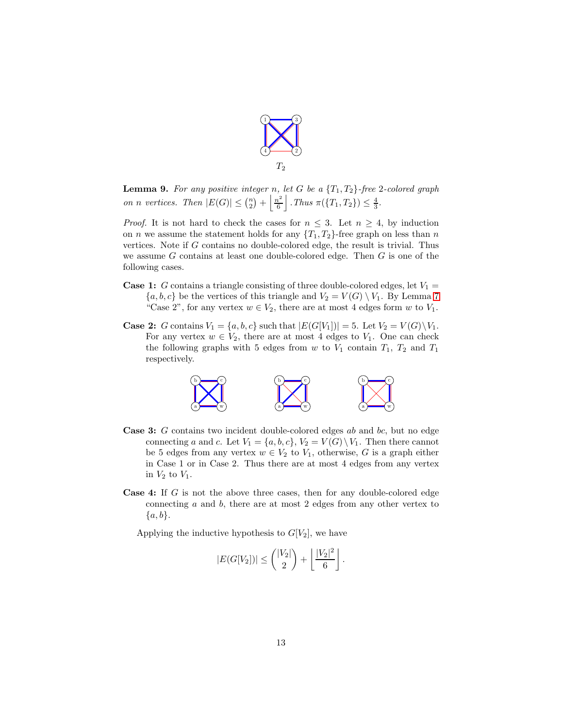![](_page_12_Figure_0.jpeg)

<span id="page-12-0"></span>**Lemma 9.** For any positive integer n, let G be a  $\{T_1, T_2\}$ -free 2-colored graph *on n vertices.* Then  $|E(G)| \leq {n \choose 2} + \frac{n^2}{6}$  $\frac{n^2}{6}$ . Thus  $\pi({T_1, T_2}) \leq \frac{4}{3}$ .

*Proof.* It is not hard to check the cases for  $n \leq 3$ . Let  $n \geq 4$ , by induction on *n* we assume the statement holds for any  $\{T_1, T_2\}$ -free graph on less than *n* vertices. Note if  $G$  contains no double-colored edge, the result is trivial. Thus we assume  $G$  contains at least one double-colored edge. Then  $G$  is one of the following cases.

- **Case 1:** G contains a triangle consisting of three double-colored edges, let  $V_1$  =  $\{a, b, c\}$  be the vertices of this triangle and  $V_2 = V(G) \setminus V_1$ . By Lemma [7](#page-8-0) "Case 2", for any vertex  $w \in V_2$ , there are at most 4 edges form w to  $V_1$ .
- **Case 2:** G contains  $V_1 = \{a, b, c\}$  such that  $|E(G[V_1])| = 5$ . Let  $V_2 = V(G) \setminus V_1$ . For any vertex  $w \in V_2$ , there are at most 4 edges to  $V_1$ . One can check the following graphs with 5 edges from  $w$  to  $V_1$  contain  $T_1$ ,  $T_2$  and  $T_1$ respectively.

![](_page_12_Figure_5.jpeg)

- **Case 3:** G contains two incident double-colored edges ab and bc, but no edge connecting a and c. Let  $V_1 = \{a, b, c\}$ ,  $V_2 = V(G) \setminus V_1$ . Then there cannot be 5 edges from any vertex  $w \in V_2$  to  $V_1$ , otherwise, G is a graph either in Case 1 or in Case 2. Thus there are at most 4 edges from any vertex in  $V_2$  to  $V_1$ .
- **Case 4:** If  $G$  is not the above three cases, then for any double-colored edge connecting a and b, there are at most 2 edges from any other vertex to  ${a, b}.$

Applying the inductive hypothesis to  $G[V_2]$ , we have

$$
|E(G[V_2])| \leq {\binom{|V_2|}{2}} + \left\lfloor \frac{|V_2|^2}{6} \right\rfloor.
$$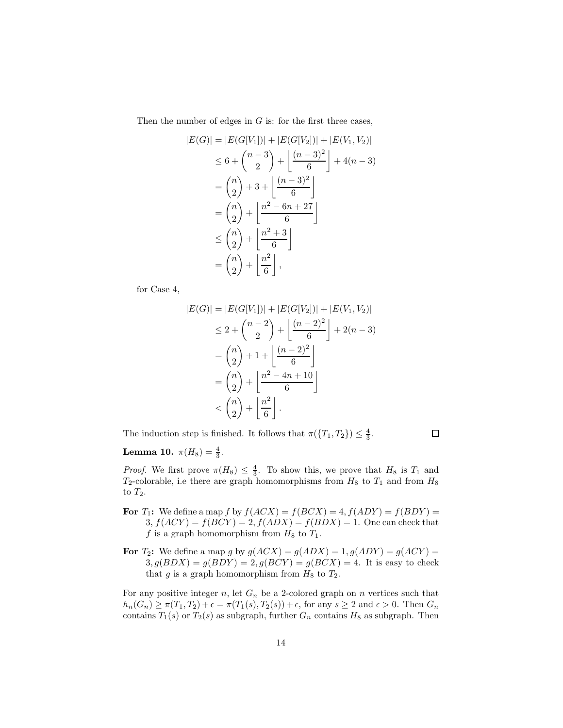Then the number of edges in  $G$  is: for the first three cases,

$$
|E(G)| = |E(G[V_1])| + |E(G[V_2])| + |E(V_1, V_2)|
$$
  
\n
$$
\leq 6 + {n-3 \choose 2} + \left\lfloor \frac{(n-3)^2}{6} \right\rfloor + 4(n-3)
$$
  
\n
$$
= {n \choose 2} + 3 + \left\lfloor \frac{(n-3)^2}{6} \right\rfloor
$$
  
\n
$$
= {n \choose 2} + \left\lfloor \frac{n^2 - 6n + 27}{6} \right\rfloor
$$
  
\n
$$
\leq {n \choose 2} + \left\lfloor \frac{n^2 + 3}{6} \right\rfloor
$$
  
\n
$$
= {n \choose 2} + \left\lfloor \frac{n^2}{6} \right\rfloor,
$$

for Case 4,

$$
|E(G)| = |E(G[V_1])| + |E(G[V_2])| + |E(V_1, V_2)|
$$
  
\n
$$
\leq 2 + {n-2 \choose 2} + \left\lfloor \frac{(n-2)^2}{6} \right\rfloor + 2(n-3)
$$
  
\n
$$
= {n \choose 2} + 1 + \left\lfloor \frac{(n-2)^2}{6} \right\rfloor
$$
  
\n
$$
= {n \choose 2} + \left\lfloor \frac{n^2 - 4n + 10}{6} \right\rfloor
$$
  
\n
$$
< {n \choose 2} + \left\lfloor \frac{n^2}{6} \right\rfloor.
$$

The induction step is finished. It follows that  $\pi({T_1, T_2}) \leq \frac{4}{3}$ .

 $\Box$ 

### **Lemma 10.**  $\pi(H_8) = \frac{4}{3}$ .

*Proof.* We first prove  $\pi(H_8) \leq \frac{4}{3}$ . To show this, we prove that  $H_8$  is  $T_1$  and  $T_2$ -colorable, i.e there are graph homomorphisms from  $H_8$  to  $T_1$  and from  $H_8$ to  $T_2$ .

- For  $T_1$ : We define a map f by  $f(ACX) = f(BCX) = 4, f(ADY) = f(BDY)$  $3, f(ACY) = f(BCY) = 2, f(ADX) = f(BDX) = 1.$  One can check that f is a graph homomorphism from  $H_8$  to  $T_1$ .
- For  $T_2$ : We define a map g by  $g(ACX) = g(ADX) = 1, g(ADY) = g(ACY) = 1$  $3, g(BDX) = g(BDY) = 2, g(BCY) = g(BCX) = 4$ . It is easy to check that g is a graph homomorphism from  $H_8$  to  $T_2$ .

For any positive integer n, let  $G_n$  be a 2-colored graph on n vertices such that  $h_n(G_n) \ge \pi(T_1, T_2) + \epsilon = \pi(T_1(s), T_2(s)) + \epsilon$ , for any  $s \ge 2$  and  $\epsilon > 0$ . Then  $G_n$ contains  $T_1(s)$  or  $T_2(s)$  as subgraph, further  $G_n$  contains  $H_8$  as subgraph. Then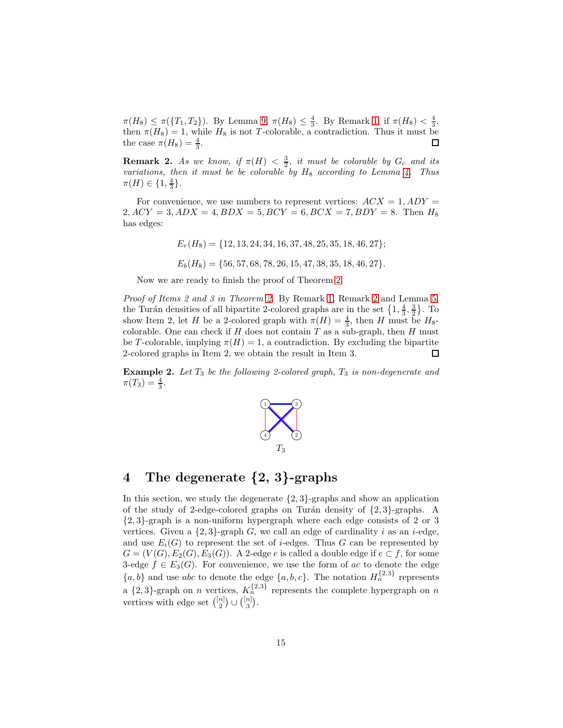$\pi(H_8) \leq \pi(\{T_1, T_2\})$ . By Lemma [9,](#page-12-0)  $\pi(H_8) \leq \frac{4}{3}$ . By Remark [1,](#page-11-0) if  $\pi(H_8) < \frac{4}{3}$ , then  $\pi(H_8) = 1$ , while  $H_8$  is not T-colorable, a contradiction. Thus it must be the case  $\pi(H_8) = \frac{4}{3}$ . □

<span id="page-14-1"></span>**Remark 2.** As we know, if  $\pi(H) < \frac{3}{2}$ , it must be colorable by  $G_c$  and its *variations, then it must be be colorable by*  $H_8$  *according to Lemma [4.](#page-5-0) Thus*  $\pi(H) \in \{1, \frac{4}{3}\}.$ 

For convenience, we use numbers to represent vertices:  $ACX = 1, ADY =$  $2, ACY = 3, ADX = 4, BDX = 5, BCY = 6, BCX = 7, BDY = 8.$  Then  $H_8$ has edges:

 $E_r(H_8) = \{12, 13, 24, 34, 16, 37, 48, 25, 35, 18, 46, 27\};$ 

 $E_b(H_8) = \{56, 57, 68, 78, 26, 15, 47, 38, 35, 18, 46, 27\}.$ 

Now we are ready to finish the proof of Theorem [2.](#page-2-0)

*Proof of Items 2 and 3 in Theorem [2.](#page-2-0)* By Remark [1,](#page-11-0) Remark [2](#page-14-1) and Lemma 5, the Turán densities of all bipartite 2-colored graphs are in the set  $\{1, \frac{4}{3}, \frac{3}{2}\}$ . To show Item 2, let H be a 2-colored graph with  $\pi(H) = \frac{4}{3}$ , then H must be H<sub>8</sub>-colored graph with  $\pi(H) = \frac{4}{3}$ , then H must be H<sub>8</sub>-colored graph with  $\pi(H) = \frac{4}{3}$ , then H must be H<sub>8</sub>-colored graph with  $\pi(H)$ colorable. One can check if  $H$  does not contain  $T$  as a sub-graph, then  $H$  must be T-colorable, implying  $\pi(H) = 1$ , a contradiction. By excluding the bipartite 2-colored graphs in Item 2, we obtain the result in Item 3. 口

**Example 2.** Let  $T_3$  be the following 2-colored graph,  $T_3$  is non-degenerate and  $\pi(T_3) = \frac{4}{3}.$ 

![](_page_14_Figure_8.jpeg)

### <span id="page-14-0"></span>4 The degenerate {2, 3}-graphs

In this section, we study the degenerate  $\{2,3\}$ -graphs and show an application of the study of 2-edge-colored graphs on Turán density of  $\{2, 3\}$ -graphs. A {2, 3}-graph is a non-uniform hypergraph where each edge consists of 2 or 3 vertices. Given a  $\{2,3\}$ -graph G, we call an edge of cardinality i as an i-edge, and use  $E_i(G)$  to represent the set of *i*-edges. Thus G can be represented by  $G = (V(G), E_2(G), E_3(G))$ . A 2-edge e is called a double edge if  $e \subset f$ , for some 3-edge  $f \in E_3(G)$ . For convenience, we use the form of ac to denote the edge  ${a, b}$  and use abc to denote the edge  ${a, b, c}$ . The notation  $H_n^{\{2,3\}}$  represents a  $\{2,3\}$ -graph on n vertices,  $K_n^{\{2,3\}}$  represents the complete hypergraph on n vertices with edge set  $\binom{[n]}{2} \cup \binom{[n]}{3}$ .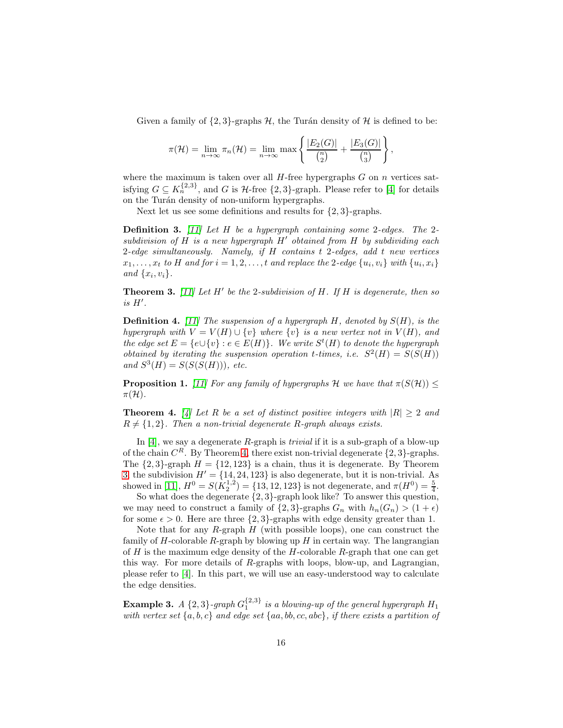Given a family of  $\{2,3\}$ -graphs H, the Turán density of H is defined to be:

$$
\pi(\mathcal{H}) = \lim_{n \to \infty} \pi_n(\mathcal{H}) = \lim_{n \to \infty} \max \left\{ \frac{|E_2(G)|}{\binom{n}{2}} + \frac{|E_3(G)|}{\binom{n}{3}} \right\},\,
$$

where the maximum is taken over all  $H$ -free hypergraphs  $G$  on  $n$  vertices satisfying  $G \subseteq K_n^{\{2,3\}}$ , and G is H-free  $\{2,3\}$ -graph. Please refer to [\[4\]](#page-20-8) for details on the Turán density of non-uniform hypergraphs.

Next let us see some definitions and results for  $\{2,3\}$ -graphs.

Definition 3. *[\[11\]](#page-20-7) Let* H *be a hypergraph containing some* 2*-edges. The* 2 *subdivision of* H *is a new hypergraph* H′ *obtained from* H *by subdividing each* 2*-edge simultaneously. Namely, if* H *contains* t 2*-edges, add* t *new vertices*  $x_1, \ldots, x_t$  to H and for  $i = 1, 2, \ldots, t$  and replace the 2-edge  $\{u_i, v_i\}$  with  $\{u_i, x_i\}$ and  $\{x_i, v_i\}$ .

<span id="page-15-1"></span>Theorem 3. *[\[11\]](#page-20-7) Let* H′ *be the* 2*-subdivision of* H*. If* H *is degenerate, then so is* H′ *.*

Definition 4. *[\[11\]](#page-20-7) The suspension of a hypergraph* H*, denoted by* S(H)*, is the hypergraph with*  $V = V(H) \cup \{v\}$  *where*  $\{v\}$  *is a new vertex not in*  $V(H)$ *, and the edge set*  $E = \{e \cup \{v\} : e \in E(H)\}$ . We write  $S^t(H)$  to denote the hypergraph *obtained by iterating the suspension operation t-times, i.e.*  $S^2(H) = S(S(H))$  $and S^3(H) = S(S(S(H))), etc.$ 

**Proposition 1.** *[\[11\]](#page-20-7)* For any family of hypergraphs H we have that  $\pi(S(\mathcal{H})) \leq$  $\pi(\mathcal{H})$ .

<span id="page-15-0"></span>**Theorem 4.** [\[4\]](#page-20-8) Let R be a set of distinct positive integers with  $|R| \geq 2$  and  $R \neq \{1, 2\}$ . Then a non-trivial degenerate R-graph always exists.

In [\[4\]](#page-20-8), we say a degenerate R-graph is *trivial* if it is a sub-graph of a blow-up of the chain  $C^R$ . By Theorem [4,](#page-15-0) there exist non-trivial degenerate  $\{2,3\}$ -graphs. The  $\{2, 3\}$ -graph  $H = \{12, 123\}$  is a chain, thus it is degenerate. By Theorem [3,](#page-15-1) the subdivision  $H' = \{14, 24, 123\}$  is also degenerate, but it is non-trivial. As showed in [\[11\]](#page-20-7),  $H^0 = S(K_2^{1,2}) = \{13, 12, 123\}$  is not degenerate, and  $\pi(H^0) = \frac{5}{4}$ .

So what does the degenerate  $\{2,3\}$ -graph look like? To answer this question, we may need to construct a family of  $\{2,3\}$ -graphs  $G_n$  with  $h_n(G_n) > (1+\epsilon)$ for some  $\epsilon > 0$ . Here are three  $\{2, 3\}$ -graphs with edge density greater than 1.

Note that for any  $R$ -graph  $H$  (with possible loops), one can construct the family of  $H$ -colorable  $R$ -graph by blowing up  $H$  in certain way. The langrangian of  $H$  is the maximum edge density of the  $H$ -colorable  $R$ -graph that one can get this way. For more details of  $R$ -graphs with loops, blow-up, and Lagrangian, please refer to [\[4\]](#page-20-8). In this part, we will use an easy-understood way to calculate the edge densities.

**Example 3.** *A*  $\{2,3\}$ -graph  $G_1^{\{2,3\}}$  is a blowing-up of the general hypergraph  $H_1$ *with vertex set* {a, b, c} *and edge set* {aa, bb, cc, abc}*, if there exists a partition of*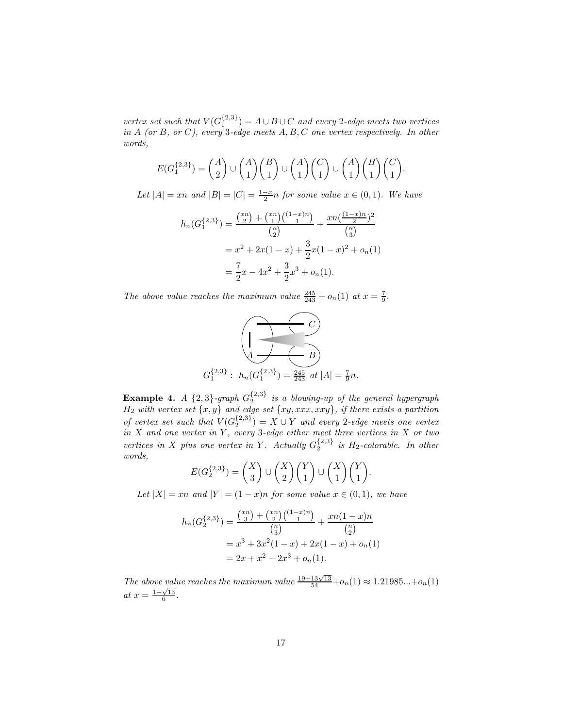$vertex set such that V(G_1^{\{2,3\}}) = A \cup B \cup C$  *and every* 2*-edge meets two vertices in* A *(or* B*, or* C*), every* 3*-edge meets* A, B, C *one vertex respectively. In other words,*

$$
E(G_1^{\{2,3\}}) = \binom{A}{2} \cup \binom{A}{1} \binom{B}{1} \cup \binom{A}{1} \binom{C}{1} \cup \binom{A}{1} \binom{B}{1} \binom{C}{1}.
$$

*Let*  $|A| = xn$  *and*  $|B| = |C| = \frac{1-x}{2}n$  *for some value*  $x \in (0,1)$ *. We have* 

$$
h_n(G_1^{\{2,3\}}) = \frac{\binom{x_n}{2} + \binom{x_n}{1} \binom{(1-x)n}{1}}{\binom{n}{2}} + \frac{x n \binom{(1-x)n}{2}^2}{\binom{n}{3}}
$$

$$
= x^2 + 2x(1-x) + \frac{3}{2}x(1-x)^2 + o_n(1)
$$

$$
= \frac{7}{2}x - 4x^2 + \frac{3}{2}x^3 + o_n(1).
$$

*The above value reaches the maximum value*  $\frac{245}{243} + o_n(1)$  *at*  $x = \frac{7}{9}$ *.* 

![](_page_16_Figure_5.jpeg)

**Example 4.** *A*  $\{2,3\}$ -graph  $G_2^{\{2,3\}}$  is a blowing-up of the general hypergraph H<sup>2</sup> *with vertex set* {x, y} *and edge set* {xy, xxx, xxy}*, if there exists a partition of vertex set such that*  $V(G_2^{\{2,3\}}) = X \cup Y$  *and every* 2*-edge meets one vertex in* X *and one vertex in* Y *, every* 3*-edge either meet three vertices in* X *or two vertices in* X *plus one vertex in* Y. Actually  $G_2^{\{2,3\}}$  *is*  $H_2$ -colorable. In other *words,*

$$
E(G_2^{\{2,3\}}) = {X \choose 3} \cup {X \choose 2} {Y \choose 1} \cup {X \choose 1} {Y \choose 1}.
$$

*Let*  $|X| = xn$  *and*  $|Y| = (1 - x)n$  *for some value*  $x \in (0, 1)$ *, we have* 

$$
h_n(G_2^{\{2,3\}}) = \frac{\binom{x_n}{3} + \binom{x_n}{2} \binom{(1-x)n}{1}}{\binom{n}{3}} + \frac{xn(1-x)n}{\binom{n}{2}}
$$

$$
= x^3 + 3x^2(1-x) + 2x(1-x) + o_n(1)
$$

$$
= 2x + x^2 - 2x^3 + o_n(1).
$$

*The above value reaches the maximum value*  $\frac{19+13\sqrt{13}}{54}+o_n(1) \approx 1.21985...+o_n(1)$ *at*  $x = \frac{1 + \sqrt{13}}{6}$ .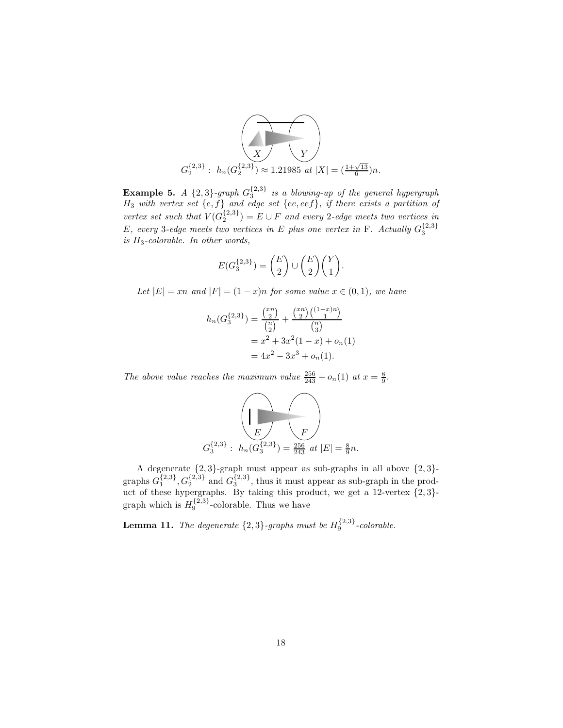![](_page_17_Figure_0.jpeg)

**Example 5.** *A*  $\{2,3\}$ -graph  $G_3^{\{2,3\}}$  is a blowing-up of the general hypergraph H<sup>3</sup> *with vertex set* {e, f} *and edge set* {ee, eef}*, if there exists a partition of vertex set such that*  $V(G_2^{\{2,3\}}) = E \cup F$  *and every* 2*-edge meets two vertices in* E, every 3-edge meets two vertices in E plus one vertex in F. Actually  $G_3^{\{2,3\}}$ *is* H3*-colorable. In other words,*

$$
E(G_3^{\{2,3\}})=\binom{E}{2}\cup\binom{E}{2}\binom{Y}{1}.
$$

*Let*  $|E| = xn$  *and*  $|F| = (1 - x)n$  *for some value*  $x \in (0, 1)$ *, we have* 

$$
h_n(G_3^{{2,3\}}) = \frac{\binom{x^n}{2}}{\binom{n}{2}} + \frac{\binom{x^n}{2}\binom{(1-x)n}{1}}{\binom{n}{3}}
$$
  
=  $x^2 + 3x^2(1-x) + o_n(1)$   
=  $4x^2 - 3x^3 + o_n(1)$ .

*The above value reaches the maximum value*  $\frac{256}{243} + o_n(1)$  *at*  $x = \frac{8}{9}$ *.* 

$$
G_3^{\{2,3\}}:\ h_n(G_3^{\{2,3\}})=\frac{256}{243}\ at\ |E|=\frac{8}{9}n.
$$

A degenerate  $\{2,3\}$ -graph must appear as sub-graphs in all above  $\{2,3\}$ graphs  $G_1^{\{2,3\}}$ ,  $G_2^{\{2,3\}}$  and  $G_3^{\{2,3\}}$ , thus it must appear as sub-graph in the product of these hypergraphs. By taking this product, we get a 12-vertex  $\{2,3\}$ graph which is  $H_9^{\{2,3\}}$ -colorable. Thus we have

**Lemma 11.** The degenerate  $\{2,3\}$ -graphs must be  $H_9^{\{2,3\}}$ -colorable.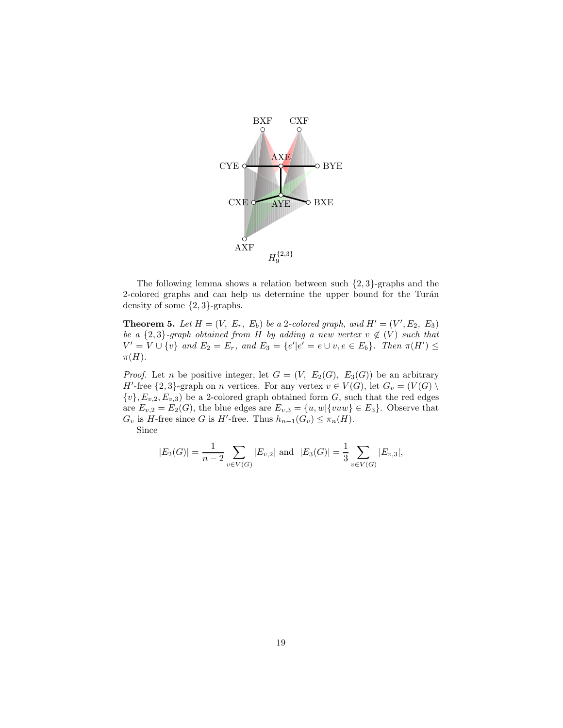![](_page_18_Figure_0.jpeg)

The following lemma shows a relation between such {2, 3}-graphs and the 2-colored graphs and can help us determine the upper bound for the Turán density of some {2, 3}-graphs.

**Theorem 5.** Let  $H = (V, E_r, E_b)$  be a 2-colored graph, and  $H' = (V', E_2, E_3)$ *be a*  $\{2,3\}$ -graph obtained from H *by adding a new vertex*  $v \notin (V)$  *such that*  $V' = V \cup \{v\}$  and  $E_2 = E_r$ , and  $E_3 = \{e' | e' = e \cup v, e \in E_b\}$ . Then  $\pi(H') \leq$  $\pi(H)$ *.* 

*Proof.* Let n be positive integer, let  $G = (V, E_2(G), E_3(G))$  be an arbitrary H'-free  $\{2,3\}$ -graph on n vertices. For any vertex  $v \in V(G)$ , let  $G_v = (V(G) \setminus V(G))$  ${v}$ ,  $E_{v,2}, E_{v,3}$ ) be a 2-colored graph obtained form G, such that the red edges are  $E_{v,2} = E_2(G)$ , the blue edges are  $E_{v,3} = \{u, w | \{vuw\} \in E_3\}$ . Observe that  $G_v$  is H-free since G is H'-free. Thus  $h_{n-1}(G_v) \leq \pi_n(H)$ .

Since

$$
|E_2(G)| = \frac{1}{n-2} \sum_{v \in V(G)} |E_{v,2}|
$$
 and  $|E_3(G)| = \frac{1}{3} \sum_{v \in V(G)} |E_{v,3}|$ ,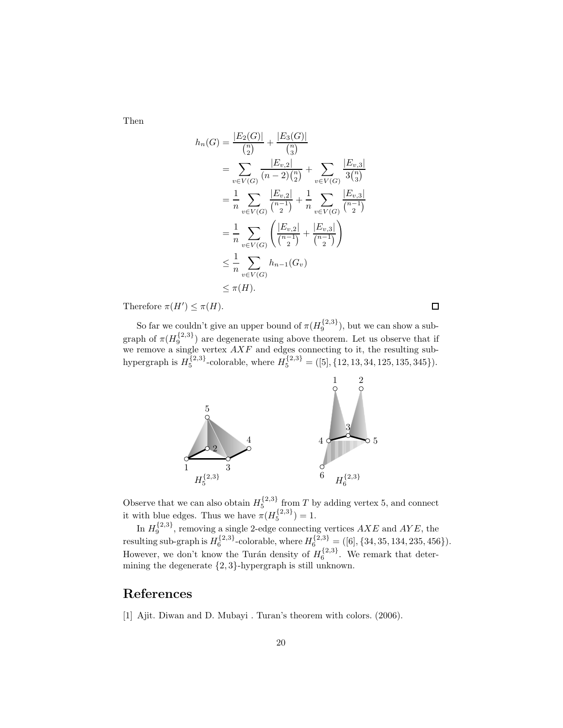Then

$$
h_n(G) = \frac{|E_2(G)|}{\binom{n}{2}} + \frac{|E_3(G)|}{\binom{n}{3}}
$$
  
\n
$$
= \sum_{v \in V(G)} \frac{|E_{v,2}|}{(n-2)\binom{n}{2}} + \sum_{v \in V(G)} \frac{|E_{v,3}|}{3\binom{n}{3}}
$$
  
\n
$$
= \frac{1}{n} \sum_{v \in V(G)} \frac{|E_{v,2}|}{\binom{n-1}{2}} + \frac{1}{n} \sum_{v \in V(G)} \frac{|E_{v,3}|}{\binom{n-1}{2}}
$$
  
\n
$$
= \frac{1}{n} \sum_{v \in V(G)} \left(\frac{|E_{v,2}|}{\binom{n-1}{2}} + \frac{|E_{v,3}|}{\binom{n-1}{2}}\right)
$$
  
\n
$$
\leq \frac{1}{n} \sum_{v \in V(G)} h_{n-1}(G_v)
$$
  
\n
$$
\leq \pi(H).
$$

Therefore  $\pi(H') \leq \pi(H)$ .

So far we couldn't give an upper bound of  $\pi(H_9^{\{2,3\}})$ , but we can show a subgraph of  $\pi(H_9^{\{2,3\}})$  are degenerate using above theorem. Let us observe that if graph of  $\pi(T_9)$  are degenerate using above theorem. Let us observe that if we remove a single vertex  $AXF$  and edges connecting to it, the resulting subhypergraph is  $H_5^{\{2,3\}}$ -colorable, where  $H_5^{\{2,3\}} = ([5], \{12, 13, 34, 125, 135, 345\}).$ 

![](_page_19_Figure_4.jpeg)

Observe that we can also obtain  $H_5^{\{2,3\}}$  from T by adding vertex 5, and connect it with blue edges. Thus we have  $\pi(H_5^{\{2,3\}})=1$ .

In  $H_9^{\{2,3\}}$ , removing a single 2-edge connecting vertices  $AXE$  and  $AYE$ , the resulting sub-graph is  $H_6^{\{2,3\}}$ -colorable, where  $H_6^{\{2,3\}} = ([6], \{34, 35, 134, 235, 456\}).$ However, we don't know the Turán density of  $H_6^{\{2,3\}}$ . We remark that determining the degenerate {2, 3}-hypergraph is still unknown.

## <span id="page-19-0"></span>References

[1] Ajit. Diwan and D. Mubayi . Turan's theorem with colors. (2006).

 $\Box$